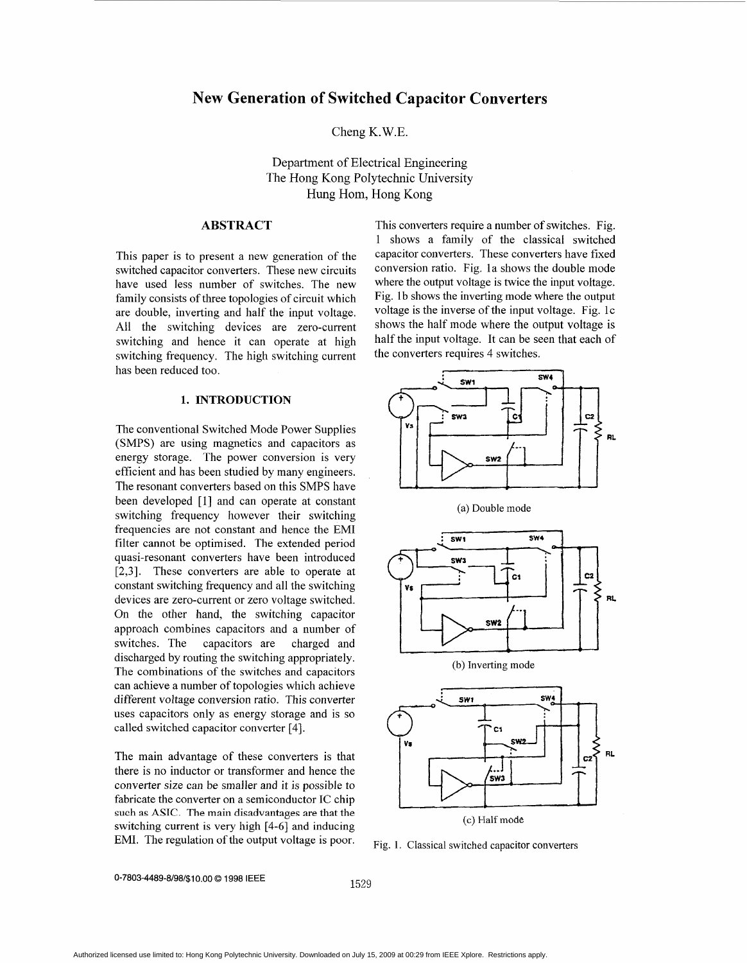# **New Generation of Switched Capacitor Converters**

Cheng K. W.E.

Department of Electrical Engineering The Hong Kong Polytechnic University Hung Hom, Hong Kong

### **ABSTRACT**

This paper is to present a new generation of the switched capacitor converters. These new circuits have used less number of switches. The new family consists of three topologies of circuit which are double, inverting and half the input voltage. All the switching devices are zero-current switching and hence it can operate at high switching frequency. The high switching current has been reduced too.

### **1. INTRODUCTION**

The conventional Switched Mode Power Supplies (SMPS) are using magnetics and capacitors as energy storage. The power conversion is very efficient and has been studied by many engineers. The resonant converters based on this SMPS have been developed [1] and can operate at constant switching frequency however their switching frequencies are not constant and hence the EM1 filter cannot be optimised. The extended period quasi-resonant converters have been introduced [2,3]. These converters are able to operate at constant switching frequency and all the switching devices are zero-current or zero voltage switched. On the other hand, the switching capacitor approach combines capacitors and a number of switches. The capacitors are charged and discharged by routing the switching appropriately. The combinations of the switches and capacitors can achieve a number of topologies which achieve different voltage conversion ratio. This converter uses capacitors only as energy storage and is so called switched capacitor converter [4].

The main advantage of these converters is that there is no inductor or transformer and hence the converter size can be smaller and it is possible to fabricate the converter on a semiconductor IC chip such **as ASIC. The** main disadvantages are that the switching current is very high  $[4-6]$  and inducing EMI. The regulation of the output voltage is poor.

This converters require a number of switches. Fig. 1 shows a family of the classical switched capacitor converters. These converters have fixed conversion ratio. Fig. la shows the double mode where the output voltage is twice the input voltage. Fig. 1b shows the inverting mode where the output voltage is the inverse of the input voltage. Fig. IC shows the half mode where the output voltage is half the input voltage. It can be seen that each of



(a) Double mode



(b) Inverting mode



Fig. 1. Classical switched capacitor converters

<sup>1529</sup>0-7803-4489-8/98/\$10.00 *0* 1998 IEEE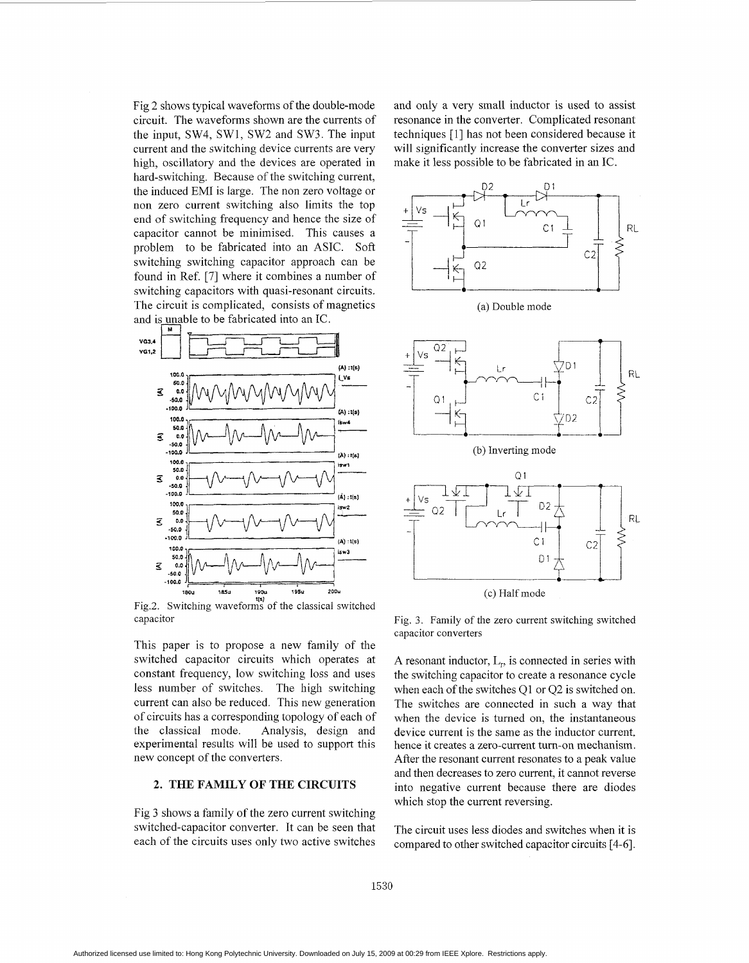Fig 2 shows typical waveforms of the double-mode circuit. The waveforms shown are the currents of the input, SW4, SW1, SW2 and SW3. The input current and the switching device currents are very high, oscillatory and the devices are operated in hard-switching. Because of the switching current, the induced EM1 is large. The non zero voltage or non zero current switching also limits the top end of switching frequency and hence the size of capacitor cannot be minimised. This causes a problem to be fabricated into an ASIC. Soft switching switching capacitor approach can be found in Ref. [7] where it combines a number of switching capacitors with quasi-resonant circuits, The circuit is complicated, consists of magnetics



Fig.2. Switching waveforms of the classical switched capacitor

This paper is to propose a new family of the switched capacitor circuits which operates at constant frequency, low switching loss and uses less number of switches. The high switching current can also be reduced. This new generation of circuits has a corresponding topology of each of the classical mode. Analysis, design and experimental results will be used to support this new concept of the converters.

### **2. THE FAMILY OF THE CIRCUITS**

Fig **3** shows a family of the zero current switching switched-capacitor converter. It can be seen that each of the circuits uses only two active switches

and only a very small inductor is used to assist resonance in the converter. Complicated resonant techniques [ 11 has not been considered because it will significantly increase the converter sizes and make it less possible to be fabricated in an IC.



Fig. 3. Family of the zero current switching switched capacitor converters

A resonant inductor,  $L_r$ , is connected in series with the switching capacitor to create a resonance cycle when each of the switches  $Q1$  or  $Q2$  is switched on. The switches are connected in such a way that when the device is turned on, the instantaneous device current is the same as the inductor current, hence it creates a zero-current turn-on mechanism. After the resonant current resonates to a peak value and then decreases to zero current, it cannot reverse into negative current because there are diodes which stop the current reversing.

The circuit uses less diodes and switches when it is compared to other switched capacitor circuits [4-6].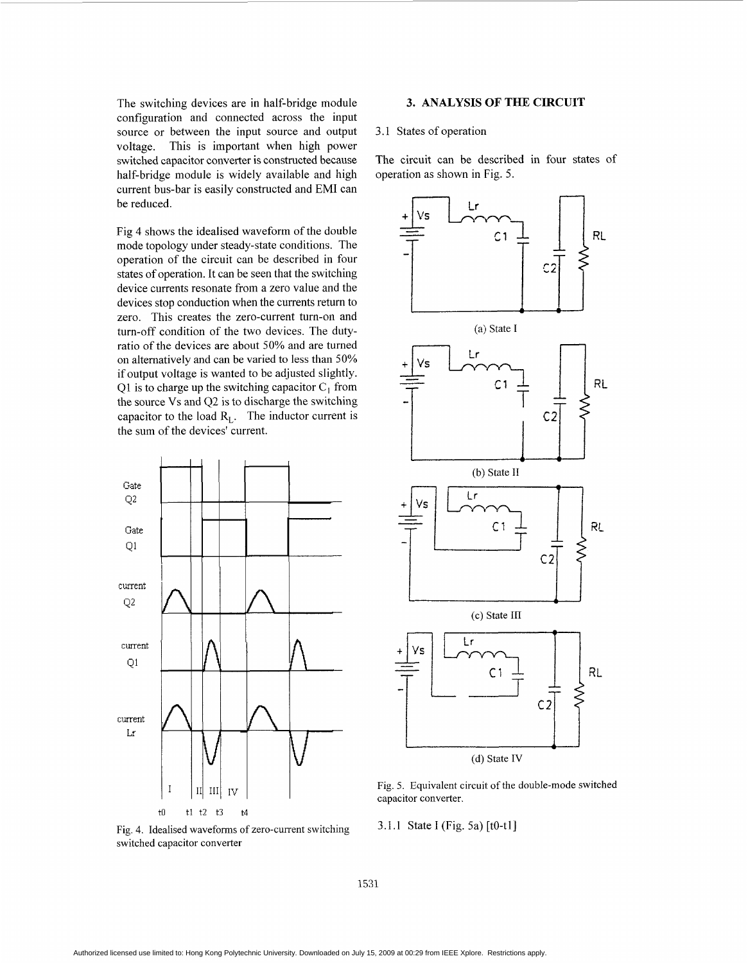<span id="page-2-0"></span>The switching devices are in half-bridge module configuration and connected across the input source or between the input source and output voltage. This is important when high power switched capacitor converter is constructed because half-bridge module is widely available and high current bus-bar is easily constructed and EM1 can be reduced.

Fig 4 shows the idealised waveform of the double mode topology under steady-state conditions. The operation of the circuit can be described in four states of operation. It can be seen that the switching device currents resonate from a zero value and the devices stop conduction when the currents return to zero. This creates the zero-current turn-on and turn-off condition of the two devices. The dutyratio of the devices are about 50% and are turned on alternatively and can be varied to less than 50% if output voltage is wanted to be adjusted slightly. Q1 is to charge up the switching capacitor  $C_1$  from the source Vs and Q2 is to discharge the switching capacitor to the load  $R_L$ . The inductor current is the sum of the devices' current.



Fig. 4. Idealised waveforms of zero-current switching switched capacitor converter

### **3. ANALYSIS OF THE CIRCUIT**

#### 3.1 States of operation

The circuit can be described in four states of operation as shown in Fig. 5.



Fig. *5.* Equivalent circuit of the double-mode switched capacitor converter.

3.1.1 State I (Fig. 5a) [to-tl]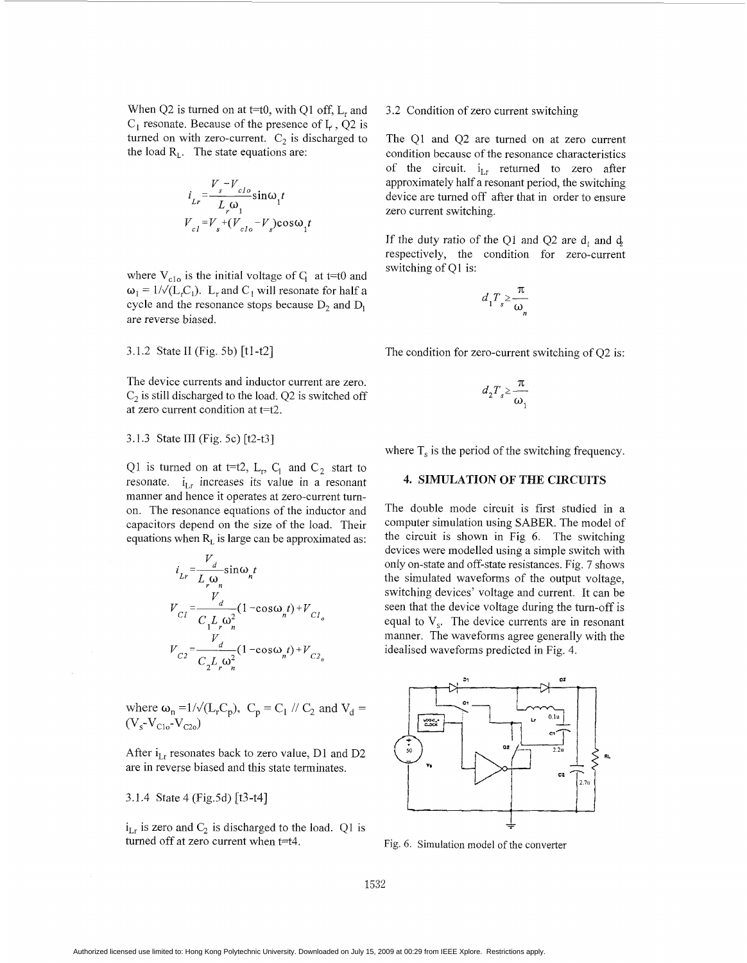When Q2 is turned on at t=t0, with Q1 off,  $L_r$  and  $C_1$  resonate. Because of the presence of  $L$ ,  $Q2$  is turned on with zero-current.  $C_2$  is discharged to the load  $R_L$ . The state equations are:

$$
i_{Lr} = \frac{V - V_{clo}}{L_r \omega_1} \sin \omega_1 t
$$
  

$$
V_{c1} = V_s + (V_{clo} - V_s) \cos \omega_1 t
$$

where  $V_{c10}$  is the initial voltage of  $C<sub>i</sub>$  at t=t0 and  $\omega_1 = 1/\sqrt{(L_r C_1)}$ . L<sub>r</sub> and C<sub>1</sub> will resonate for half a cycle and the resonance stops because  $D_2$  and  $D_1$ are reverse biased.

3.1.2 State 11 (Fig. 5b) [tl -t2]

The device currents and inductor current are zero.  $C<sub>2</sub>$  is still discharged to the load. Q2 is switched off at zero current condition at t=t2.

### 3.1.3 State III (Fig. 5c) [t2-t3]

Q1 is turned on at t=t2,  $L_r$ ,  $C_1$  and  $C_2$  start to resonate.  $i_{1,r}$  increases its value in a resonant manner and hence it operates at zero-current turnon. The resonance equations of the inductor and capacitors depend on the size of the load. Their

equations when R<sub>L</sub> is large can be approximated as:  
\n
$$
i_{Lr} = \frac{V_d}{L_r \omega_n} \sin \omega_n t
$$
\n
$$
V_{CI} = \frac{V_d}{C_1 L_r \omega_n^2} (1 - \cos \omega_n t) + V_{CI_o}
$$
\n
$$
V_{C2} = \frac{V_d}{C_2 L_r \omega_n^2} (1 - \cos \omega_n t) + V_{C2_o}
$$

where  $\omega_n = 1/\sqrt{(L_r C_p)}$ ,  $C_p = C_1 / C_2$  and  $V_d =$  $(V_s$ - $V_{C10}$ - $V_{C20}$ 

After  $i_{\text{Lr}}$  resonates back to zero value, D1 and D2 are in reverse biased and this state terminates.

3.1.4 State 4 (Fig.5d) [t3-t4]

 $i_{I,r}$  is zero and  $C_2$  is discharged to the load. Q1 is turned off at zero current when t=t4.

### 3.2 Condition of zero current switching

The Q1 and Q2 are turned on at zero current condition because of the resonance characteristics of the circuit.  $i_{I,r}$  returned to zero after approximately half a resonant period, the switching device are turned off after that in order to ensure zero current switching.

If the duty ratio of the Q1 and Q2 are  $d_1$  and  $d_2$ respectively, the condition for zero-current switching of Q1 is:

$$
d_1 T_s \geq \frac{\pi}{\omega_n}
$$

The condition for zero-current switching of O2 is:

$$
d_2T_s \geq \frac{\pi}{\omega_1}
$$

where  $T<sub>s</sub>$  is the period of the switching frequency.

#### **4. SIMULATION OF THE CIRCUITS**

The double mode circuit is first studied in a computer simulation using SABER. The model of the circuit is shown in Fig 6. The switching devices were modelled using a simple switch with only on-state and off-state resistances. Fig. 7 shows the simulated waveforms of the output voltage, switching devices' voltage and current. It can be seen that the device voltage during the turn-off is equal to  $V_s$ . The device currents are in resonant manner. The waveforms agree generally with the idealised waveforms predicted in Fig. 4.



Fig. 6. Simulation model of the converter

1532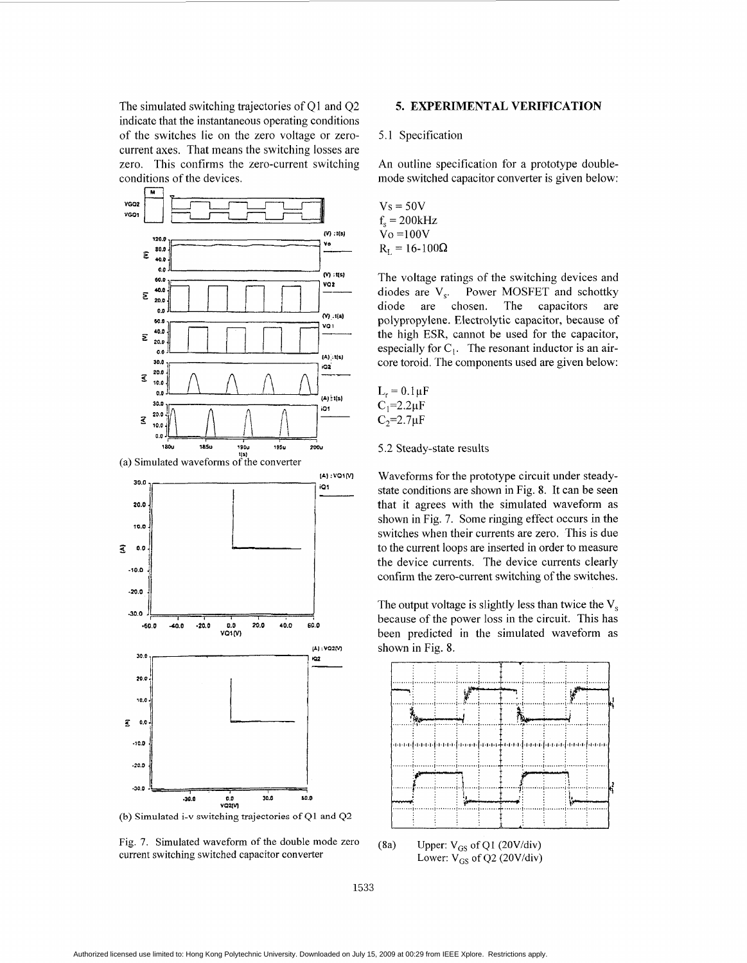The simulated switching trajectories of O1 and O2 indicate that the instantaneous operating conditions of the switches lie on the zero voltage or zerocurrent axes. That means the switching losses are zero. This confirms the zero-current switching conditions of the devices.



#### $-30.0$ 0.0<br>VQ2{V] (b) Simulated i-v switching trajectories of Q1 and Q2

 $30.8$ 

 $-10.0$  $-20.0$  $-30.0$ 

Fig. 7. Simulated waveform of the double mode zero current switching switched capacitor converter

## 5. EXPERIMENTAL VERIFICATION

### 5.1 Specification

An outline specification for a prototype doublemode switched capacitor converter is given below:

$$
V_s = 50V
$$
  
f<sub>s</sub> = 200kHz  
Vo = 100V  
R<sub>L</sub> = 16-100 $\Omega$ 

The voltage ratings of the switching devices and diodes are V<sub>s</sub>. Power MOSFET and schottky diode are chosen. The capacitors are polypropylene. Electrolytic capacitor, because of the high ESR, cannot be used for the capacitor, especially for  $C_1$ . The resonant inductor is an aircore toroid. The components used are given below:

$$
L_r = 0.1 \mu F
$$
  
\n
$$
C_1 = 2.2 \mu F
$$
  
\n
$$
C_2 = 2.7 \mu F
$$

5.2 Steady-state results

Waveforms for the prototype circuit under steadystate conditions are shown in Fig. 8. It can be seen that it agrees with the simulated waveform as shown in Fig. 7. Some ringing effect occurs in the switches when their currents are zero. This is due to the current loops are inserted in order to measure the device currents. The device currents clearly confirm the zero-current switching of the switches.

The output voltage is slightly less than twice the  $V_s$ because of the power loss in the circuit. This has been predicted in the simulated waveform as shown in Fig. 8.



Lower: V<sub>GS</sub> of Q2 (20V/div)

50.0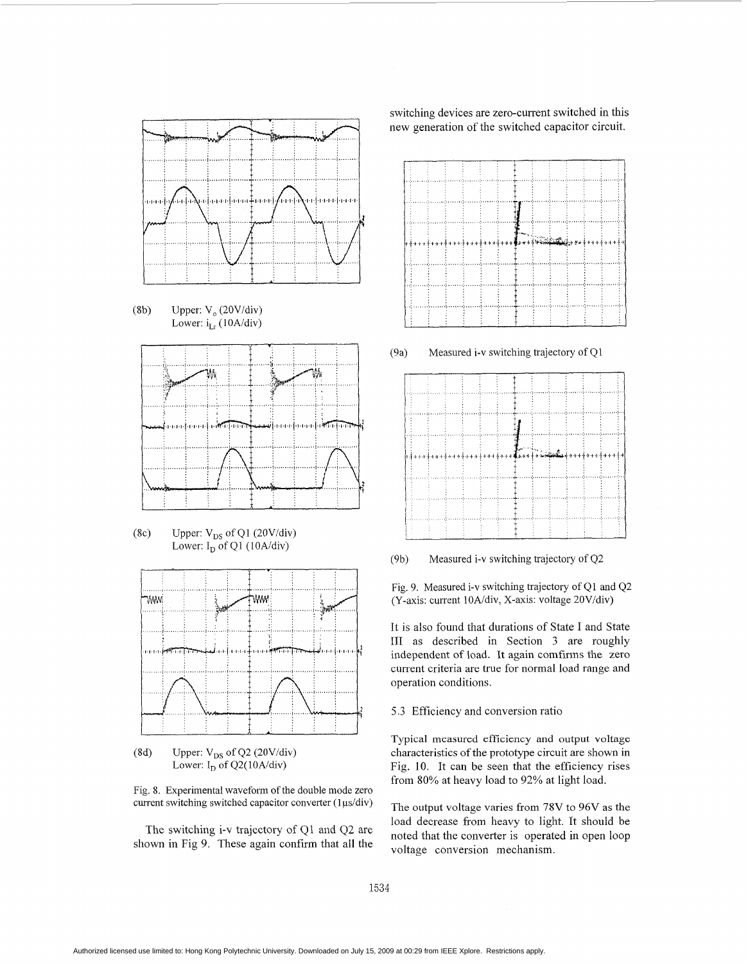





 $(8c)$ Upper:  $V_{DS}$  of Q1 (20V/div) Lower:  $I_D$  of Q1 (10A/div)







The switching i-v trajectory of Q1 and Q2 are shown in Fig 9. These again confirm that all the switching devices are zero-current switched in this new generation of the switched capacitor circuit.



 $(9a)$ Measured i-v switching trajectory of Q1



 $(9b)$ Measured i-v switching trajectory of Q2

Fig. 9. Measured i-v switching trajectory of Q1 and Q2 (Y-axis: current 10A/div, X-axis: voltage 20V/div)

It is also found that durations of State I and State III as described in Section 3 are roughly independent of load. It again comfirms the zero current criteria are true for normal load range and operation conditions.

### 5.3 Efficiency and conversion ratio

Typical measured efficiency and output voltage characteristics of the prototype circuit are shown in Fig. 10. It can be seen that the efficiency rises from 80% at heavy load to 92% at light load.

The output voltage varies from 78V to 96V as the load decrease from heavy to light. It should be noted that the converter is operated in open loop voltage conversion mechanism.

1534